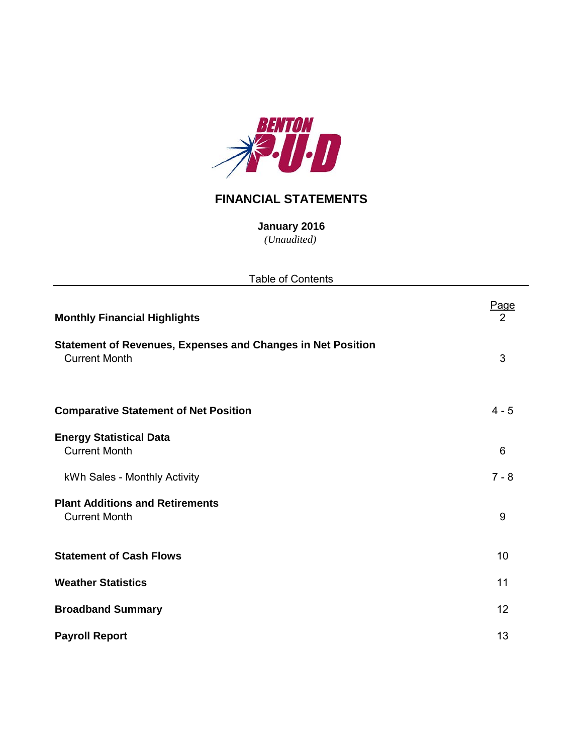

## **FINANCIAL STATEMENTS**

**January 2016** *(Unaudited)*

| <b>Table of Contents</b>                                                                   |           |
|--------------------------------------------------------------------------------------------|-----------|
| <b>Monthly Financial Highlights</b>                                                        | Page<br>2 |
| <b>Statement of Revenues, Expenses and Changes in Net Position</b><br><b>Current Month</b> | 3         |
| <b>Comparative Statement of Net Position</b>                                               | $4 - 5$   |
| <b>Energy Statistical Data</b><br><b>Current Month</b>                                     | 6         |
| kWh Sales - Monthly Activity                                                               | $7 - 8$   |
| <b>Plant Additions and Retirements</b><br><b>Current Month</b>                             | 9         |
| <b>Statement of Cash Flows</b>                                                             | 10        |
| <b>Weather Statistics</b>                                                                  | 11        |
| <b>Broadband Summary</b>                                                                   | 12        |
| <b>Payroll Report</b>                                                                      | 13        |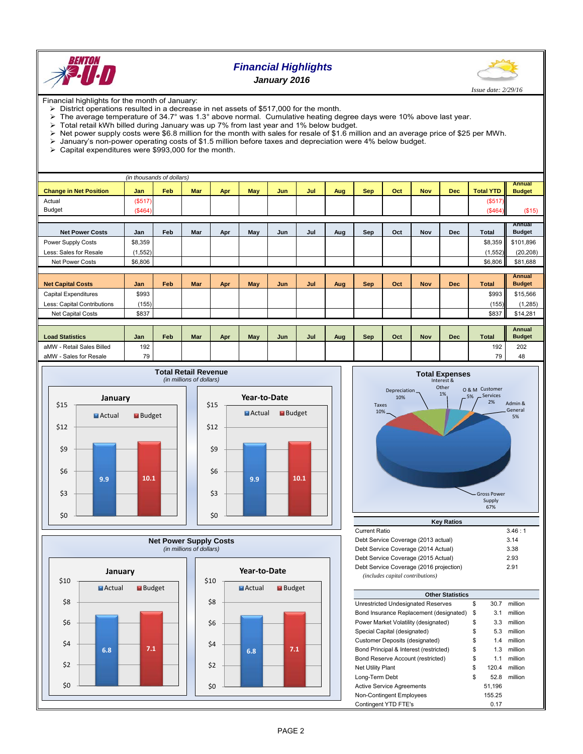

## *Financial Highlights January 2016*



Financial highlights for the month of January:

- $\therefore$  District operations resulted in a decrease in net assets of \$517,000 for the month.<br>  $\triangleright$  The average temperature of 34.7° was 1.3° above normal. Cumulative heating de
- The average temperature of 34.7° was 1.3° above normal. Cumulative heating degree days were 10% above last year.<br>> Total retail kWh billed during January was up 7% from last year and 1% below budget
- Total retail kWh billed during January was up 7% from last year and 1% below budget.
- > Net power supply costs were \$6.8 million for the month with sales for resale of \$1.6 million and an average price of \$25 per MWh.<br>→ January's non-power operating costs of \$1.5 million before taxes and depreciation were
- January's non-power operating costs of \$1.5 million before taxes and depreciation were 4% below budget.
- Capital expenditures were \$993,000 for the month.

| (in thousands of dollars)     |            |     |            |     |     |     |     |     |            |     |            |            |                  |                         |
|-------------------------------|------------|-----|------------|-----|-----|-----|-----|-----|------------|-----|------------|------------|------------------|-------------------------|
|                               |            | Feb |            |     |     |     |     |     |            |     |            |            |                  | <b>Annual</b>           |
| <b>Change in Net Position</b> | <b>Jan</b> |     | Mar        | Apr | May | Jun | Jul | Aug | <b>Sep</b> | Oct | <b>Nov</b> | <b>Dec</b> | <b>Total YTD</b> | <b>Budget</b>           |
| Actual                        | (\$517)    |     |            |     |     |     |     |     |            |     |            |            | (\$517)          |                         |
| <b>Budget</b>                 | (\$464)    |     |            |     |     |     |     |     |            |     |            |            | (\$464)          | (\$15)                  |
|                               |            |     |            |     |     |     |     |     |            |     |            |            |                  |                         |
| <b>Net Power Costs</b>        | Jan        | Feb | Mar        | Apr | May | Jun | Jul | Aug | Sep        | Oct | Nov        | <b>Dec</b> | <b>Total</b>     | Annual<br><b>Budget</b> |
| Power Supply Costs            | \$8,359    |     |            |     |     |     |     |     |            |     |            |            | \$8,359          | \$101,896               |
| Less: Sales for Resale        | (1, 552)   |     |            |     |     |     |     |     |            |     |            |            | (1, 552)         | (20, 208)               |
| <b>Net Power Costs</b>        | \$6,806    |     |            |     |     |     |     |     |            |     |            |            | \$6,806          | \$81,688                |
|                               |            |     |            |     |     |     |     |     |            |     |            |            |                  |                         |
|                               |            |     |            |     |     |     |     |     |            |     |            |            |                  | Annual                  |
| <b>Net Capital Costs</b>      | Jan        | Feb | Mar        | Apr | May | Jun | Jul | Aug | <b>Sep</b> | Oct | <b>Nov</b> | <b>Dec</b> | <b>Total</b>     | <b>Budget</b>           |
| <b>Capital Expenditures</b>   | \$993      |     |            |     |     |     |     |     |            |     |            |            | \$993            | \$15,566                |
| Less: Capital Contributions   | (155)      |     |            |     |     |     |     |     |            |     |            |            | (155)            | (1, 285)                |
| Net Capital Costs             | \$837      |     |            |     |     |     |     |     |            |     |            |            | \$837            | \$14,281                |
|                               |            |     |            |     |     |     |     |     |            |     |            |            |                  |                         |
|                               |            |     |            |     |     |     |     |     |            |     |            |            |                  | Annual                  |
| <b>Load Statistics</b>        | Jan        | Feb | <b>Mar</b> | Apr | May | Jun | Jul | Aug | Sep        | Oct | <b>Nov</b> | <b>Dec</b> | <b>Total</b>     | <b>Budget</b>           |
| aMW - Retail Sales Billed     | 192        |     |            |     |     |     |     |     |            |     |            |            | 192              | 202                     |
| aMW - Sales for Resale        | 79         |     |            |     |     |     |     |     |            |     |            |            | 79               | 48                      |







| Current Ratio                           | 3.46:1 |
|-----------------------------------------|--------|
| Debt Service Coverage (2013 actual)     | 3.14   |
| Debt Service Coverage (2014 Actual)     | 3.38   |
| Debt Service Coverage (2015 Actual)     | 2.93   |
| Debt Service Coverage (2016 projection) | 2.91   |
| (includes capital contributions)        |        |

| <b>Other Statistics</b>                 |    |        |         |  |  |  |  |  |  |  |
|-----------------------------------------|----|--------|---------|--|--|--|--|--|--|--|
| Unrestricted Undesignated Reserves      | \$ | 30.7   | million |  |  |  |  |  |  |  |
| Bond Insurance Replacement (designated) | \$ | 3.1    | million |  |  |  |  |  |  |  |
| Power Market Volatility (designated)    | \$ | 3.3    | million |  |  |  |  |  |  |  |
| Special Capital (designated)            | \$ | 5.3    | million |  |  |  |  |  |  |  |
| Customer Deposits (designated)          | \$ | 1.4    | million |  |  |  |  |  |  |  |
| Bond Principal & Interest (restricted)  | \$ | 1.3    | million |  |  |  |  |  |  |  |
| Bond Reserve Account (restricted)       | \$ | 1.1    | million |  |  |  |  |  |  |  |
| <b>Net Utility Plant</b>                | \$ | 120.4  | million |  |  |  |  |  |  |  |
| Long-Term Debt                          | \$ | 52.8   | million |  |  |  |  |  |  |  |
| <b>Active Service Agreements</b>        |    | 51.196 |         |  |  |  |  |  |  |  |
| Non-Contingent Employees                |    | 155.25 |         |  |  |  |  |  |  |  |
| Contingent YTD FTE's                    |    | 0.17   |         |  |  |  |  |  |  |  |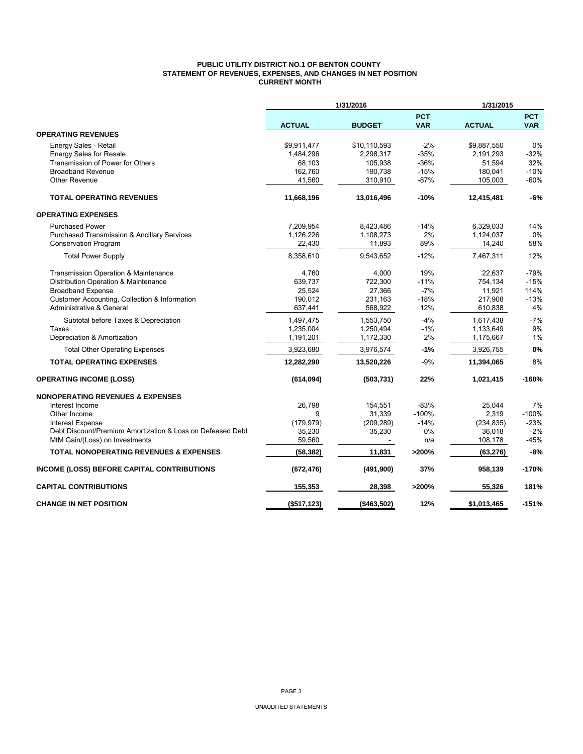### **PUBLIC UTILITY DISTRICT NO.1 OF BENTON COUNTY STATEMENT OF REVENUES, EXPENSES, AND CHANGES IN NET POSITION CURRENT MONTH**

|                                                            | 1/31/2016     |               | 1/31/2015                |               |                          |  |
|------------------------------------------------------------|---------------|---------------|--------------------------|---------------|--------------------------|--|
|                                                            | <b>ACTUAL</b> | <b>BUDGET</b> | <b>PCT</b><br><b>VAR</b> | <b>ACTUAL</b> | <b>PCT</b><br><b>VAR</b> |  |
| <b>OPERATING REVENUES</b>                                  |               |               |                          |               |                          |  |
| Energy Sales - Retail                                      | \$9,911,477   | \$10,110,593  | $-2%$                    | \$9,887,550   | 0%                       |  |
| <b>Energy Sales for Resale</b>                             | 1,484,296     | 2,298,317     | $-35%$                   | 2,191,293     | $-32%$                   |  |
| Transmission of Power for Others                           | 68,103        | 105,938       | $-36%$                   | 51,594        | 32%                      |  |
| <b>Broadband Revenue</b>                                   | 162,760       | 190,738       | $-15%$                   | 180,041       | $-10%$                   |  |
| <b>Other Revenue</b>                                       | 41,560        | 310,910       | $-87%$                   | 105,003       | $-60%$                   |  |
| <b>TOTAL OPERATING REVENUES</b>                            | 11,668,196    | 13,016,496    | $-10%$                   | 12,415,481    | -6%                      |  |
| <b>OPERATING EXPENSES</b>                                  |               |               |                          |               |                          |  |
| <b>Purchased Power</b>                                     | 7,209,954     | 8,423,486     | $-14%$                   | 6,329,033     | 14%                      |  |
| <b>Purchased Transmission &amp; Ancillary Services</b>     | 1,126,226     | 1,108,273     | 2%                       | 1,124,037     | $0\%$                    |  |
| Conservation Program                                       | 22,430        | 11,893        | 89%                      | 14,240        | 58%                      |  |
| <b>Total Power Supply</b>                                  | 8.358.610     | 9.543.652     | $-12%$                   | 7.467.311     | 12%                      |  |
| Transmission Operation & Maintenance                       | 4,760         | 4,000         | 19%                      | 22,637        | $-79%$                   |  |
| Distribution Operation & Maintenance                       | 639,737       | 722,300       | $-11%$                   | 754,134       | $-15%$                   |  |
| <b>Broadband Expense</b>                                   | 25,524        | 27,366        | $-7%$                    | 11,921        | 114%                     |  |
| Customer Accounting, Collection & Information              | 190,012       | 231,163       | $-18%$                   | 217,908       | $-13%$                   |  |
| <b>Administrative &amp; General</b>                        | 637,441       | 568,922       | 12%                      | 610,838       | 4%                       |  |
| Subtotal before Taxes & Depreciation                       | 1,497,475     | 1,553,750     | $-4%$                    | 1,617,438     | $-7%$                    |  |
| Taxes                                                      | 1,235,004     | 1,250,494     | $-1%$                    | 1,133,649     | 9%                       |  |
| Depreciation & Amortization                                | 1,191,201     | 1,172,330     | 2%                       | 1,175,667     | 1%                       |  |
| <b>Total Other Operating Expenses</b>                      | 3,923,680     | 3,976,574     | $-1%$                    | 3,926,755     | 0%                       |  |
| <b>TOTAL OPERATING EXPENSES</b>                            | 12,282,290    | 13,520,226    | $-9%$                    | 11,394,065    | 8%                       |  |
| <b>OPERATING INCOME (LOSS)</b>                             | (614, 094)    | (503, 731)    | 22%                      | 1,021,415     | $-160%$                  |  |
| <b>NONOPERATING REVENUES &amp; EXPENSES</b>                |               |               |                          |               |                          |  |
| Interest Income                                            | 26,798        | 154,551       | $-83%$                   | 25,044        | 7%                       |  |
| Other Income                                               | 9             | 31,339        | $-100%$                  | 2,319         | $-100%$                  |  |
| <b>Interest Expense</b>                                    | (179, 979)    | (209, 289)    | $-14%$                   | (234, 835)    | $-23%$                   |  |
| Debt Discount/Premium Amortization & Loss on Defeased Debt | 35,230        | 35,230        | 0%                       | 36,018        | $-2%$                    |  |
| MtM Gain/(Loss) on Investments                             | 59,560        |               | n/a                      | 108,178       | $-45%$                   |  |
| <b>TOTAL NONOPERATING REVENUES &amp; EXPENSES</b>          | (58, 382)     | 11,831        | >200%                    | (63, 276)     | $-8%$                    |  |
| INCOME (LOSS) BEFORE CAPITAL CONTRIBUTIONS                 | (672, 476)    | (491,900)     | 37%                      | 958,139       | $-170%$                  |  |
| <b>CAPITAL CONTRIBUTIONS</b>                               | 155,353       | 28,398        | >200%                    | 55,326        | 181%                     |  |
| <b>CHANGE IN NET POSITION</b>                              | (\$517, 123)  | ( \$463, 502) | 12%                      | \$1,013,465   | $-151%$                  |  |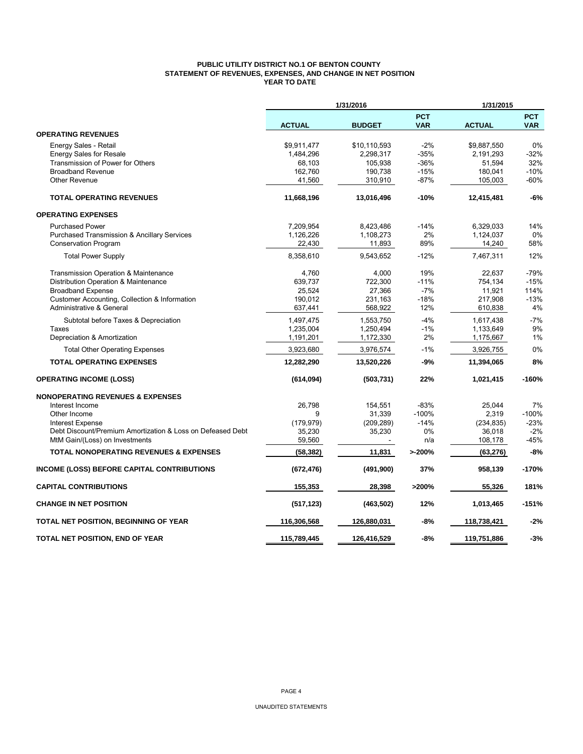### **PUBLIC UTILITY DISTRICT NO.1 OF BENTON COUNTY STATEMENT OF REVENUES, EXPENSES, AND CHANGE IN NET POSITION YEAR TO DATE**

|                                                            |               | 1/31/2016     |                          | 1/31/2015     |                          |  |  |
|------------------------------------------------------------|---------------|---------------|--------------------------|---------------|--------------------------|--|--|
|                                                            | <b>ACTUAL</b> | <b>BUDGET</b> | <b>PCT</b><br><b>VAR</b> | <b>ACTUAL</b> | <b>PCT</b><br><b>VAR</b> |  |  |
| <b>OPERATING REVENUES</b>                                  |               |               |                          |               |                          |  |  |
| Energy Sales - Retail                                      | \$9,911,477   | \$10,110,593  | $-2%$                    | \$9.887.550   | 0%                       |  |  |
| <b>Energy Sales for Resale</b>                             | 1,484,296     | 2,298,317     | $-35%$                   | 2,191,293     | $-32%$                   |  |  |
| Transmission of Power for Others                           | 68,103        | 105,938       | $-36%$                   | 51,594        | 32%                      |  |  |
| <b>Broadband Revenue</b>                                   | 162,760       | 190,738       | $-15%$                   | 180,041       | $-10%$                   |  |  |
| <b>Other Revenue</b>                                       | 41,560        | 310,910       | $-87%$                   | 105,003       | -60%                     |  |  |
| <b>TOTAL OPERATING REVENUES</b>                            | 11,668,196    | 13,016,496    | $-10%$                   | 12,415,481    | $-6%$                    |  |  |
| <b>OPERATING EXPENSES</b>                                  |               |               |                          |               |                          |  |  |
| <b>Purchased Power</b>                                     | 7,209,954     | 8,423,486     | $-14%$                   | 6,329,033     | 14%                      |  |  |
| <b>Purchased Transmission &amp; Ancillary Services</b>     | 1,126,226     | 1,108,273     | 2%                       | 1,124,037     | 0%                       |  |  |
| <b>Conservation Program</b>                                | 22,430        | 11,893        | 89%                      | 14,240        | 58%                      |  |  |
| <b>Total Power Supply</b>                                  | 8,358,610     | 9,543,652     | $-12%$                   | 7,467,311     | 12%                      |  |  |
| Transmission Operation & Maintenance                       | 4,760         | 4,000         | 19%                      | 22,637        | $-79%$                   |  |  |
| Distribution Operation & Maintenance                       | 639,737       | 722,300       | $-11%$                   | 754,134       | $-15%$                   |  |  |
| <b>Broadband Expense</b>                                   | 25,524        | 27,366        | $-7%$                    | 11,921        | 114%                     |  |  |
| Customer Accounting, Collection & Information              | 190,012       | 231,163       | $-18%$                   | 217,908       | $-13%$                   |  |  |
| Administrative & General                                   | 637,441       | 568,922       | 12%                      | 610,838       | 4%                       |  |  |
| Subtotal before Taxes & Depreciation                       | 1,497,475     | 1,553,750     | $-4%$                    | 1,617,438     | $-7%$                    |  |  |
| Taxes                                                      | 1,235,004     | 1,250,494     | $-1%$                    | 1,133,649     | 9%                       |  |  |
| Depreciation & Amortization                                | 1,191,201     | 1,172,330     | 2%                       | 1,175,667     | 1%                       |  |  |
| <b>Total Other Operating Expenses</b>                      | 3,923,680     | 3,976,574     | $-1%$                    | 3,926,755     | 0%                       |  |  |
| <b>TOTAL OPERATING EXPENSES</b>                            | 12,282,290    | 13,520,226    | -9%                      | 11,394,065    | 8%                       |  |  |
| <b>OPERATING INCOME (LOSS)</b>                             | (614, 094)    | (503, 731)    | 22%                      | 1,021,415     | $-160%$                  |  |  |
| <b>NONOPERATING REVENUES &amp; EXPENSES</b>                |               |               |                          |               |                          |  |  |
| Interest Income                                            | 26,798        | 154,551       | $-83%$                   | 25,044        | 7%                       |  |  |
| Other Income                                               | 9             | 31,339        | $-100%$                  | 2,319         | $-100%$                  |  |  |
| <b>Interest Expense</b>                                    | (179, 979)    | (209, 289)    | $-14%$                   | (234, 835)    | $-23%$                   |  |  |
| Debt Discount/Premium Amortization & Loss on Defeased Debt | 35,230        | 35,230        | 0%                       | 36,018        | $-2%$                    |  |  |
| MtM Gain/(Loss) on Investments                             | 59,560        |               | n/a                      | 108,178       | -45%                     |  |  |
| <b>TOTAL NONOPERATING REVENUES &amp; EXPENSES</b>          | (58, 382)     | 11,831        | >200%                    | (63, 276)     | $-8%$                    |  |  |
| INCOME (LOSS) BEFORE CAPITAL CONTRIBUTIONS                 | (672, 476)    | (491,900)     | 37%                      | 958,139       | $-170%$                  |  |  |
| <b>CAPITAL CONTRIBUTIONS</b>                               | 155,353       | 28,398        | >200%                    | 55,326        | 181%                     |  |  |
| <b>CHANGE IN NET POSITION</b>                              | (517, 123)    | (463, 502)    | 12%                      | 1,013,465     | $-151%$                  |  |  |
| TOTAL NET POSITION, BEGINNING OF YEAR                      | 116,306,568   | 126,880,031   | $-8%$                    | 118,738,421   | $-2%$                    |  |  |
| TOTAL NET POSITION, END OF YEAR                            | 115,789,445   | 126,416,529   | $-8%$                    | 119,751,886   | $-3%$                    |  |  |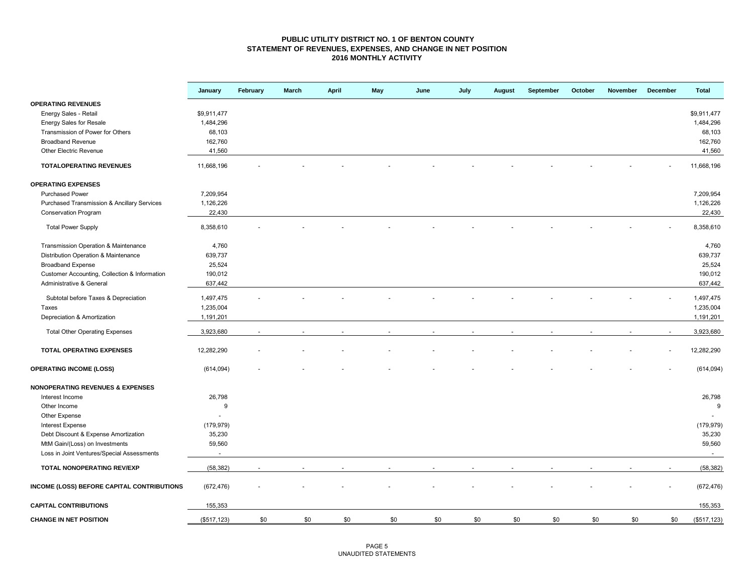#### **PUBLIC UTILITY DISTRICT NO. 1 OF BENTON COUNTY STATEMENT OF REVENUES, EXPENSES, AND CHANGE IN NET POSITION 2016 MONTHLY ACTIVITY**

|                                               | January      | February | <b>March</b> | April | May | June | July | <b>August</b> | September | October | November | December | <b>Total</b> |
|-----------------------------------------------|--------------|----------|--------------|-------|-----|------|------|---------------|-----------|---------|----------|----------|--------------|
| <b>OPERATING REVENUES</b>                     |              |          |              |       |     |      |      |               |           |         |          |          |              |
| Energy Sales - Retail                         | \$9,911,477  |          |              |       |     |      |      |               |           |         |          |          | \$9,911,477  |
| Energy Sales for Resale                       | 1,484,296    |          |              |       |     |      |      |               |           |         |          |          | 1,484,296    |
| Transmission of Power for Others              | 68,103       |          |              |       |     |      |      |               |           |         |          |          | 68,103       |
| <b>Broadband Revenue</b>                      | 162,760      |          |              |       |     |      |      |               |           |         |          |          | 162,760      |
| <b>Other Electric Revenue</b>                 | 41,560       |          |              |       |     |      |      |               |           |         |          |          | 41,560       |
| <b>TOTALOPERATING REVENUES</b>                | 11,668,196   |          |              |       |     |      |      |               |           |         |          |          | 11,668,196   |
| <b>OPERATING EXPENSES</b>                     |              |          |              |       |     |      |      |               |           |         |          |          |              |
| <b>Purchased Power</b>                        | 7,209,954    |          |              |       |     |      |      |               |           |         |          |          | 7,209,954    |
| Purchased Transmission & Ancillary Services   | 1,126,226    |          |              |       |     |      |      |               |           |         |          |          | 1,126,226    |
| Conservation Program                          | 22,430       |          |              |       |     |      |      |               |           |         |          |          | 22,430       |
| <b>Total Power Supply</b>                     | 8,358,610    |          |              |       |     |      |      |               |           |         |          |          | 8,358,610    |
| Transmission Operation & Maintenance          | 4,760        |          |              |       |     |      |      |               |           |         |          |          | 4,760        |
| Distribution Operation & Maintenance          | 639,737      |          |              |       |     |      |      |               |           |         |          |          | 639,737      |
| <b>Broadband Expense</b>                      | 25,524       |          |              |       |     |      |      |               |           |         |          |          | 25,524       |
| Customer Accounting, Collection & Information | 190,012      |          |              |       |     |      |      |               |           |         |          |          | 190,012      |
| Administrative & General                      | 637,442      |          |              |       |     |      |      |               |           |         |          |          | 637,442      |
|                                               |              |          |              |       |     |      |      |               |           |         |          |          |              |
| Subtotal before Taxes & Depreciation          | 1,497,475    |          |              |       |     |      |      |               |           |         |          |          | 1,497,475    |
| Taxes                                         | 1,235,004    |          |              |       |     |      |      |               |           |         |          |          | 1,235,004    |
| Depreciation & Amortization                   | 1,191,201    |          |              |       |     |      |      |               |           |         |          |          | 1,191,201    |
| <b>Total Other Operating Expenses</b>         | 3,923,680    |          |              |       |     |      |      |               |           |         |          |          | 3,923,680    |
| <b>TOTAL OPERATING EXPENSES</b>               | 12,282,290   |          |              |       |     |      |      |               |           |         |          |          | 12,282,290   |
| <b>OPERATING INCOME (LOSS)</b>                | (614, 094)   |          |              |       |     |      |      |               |           |         |          |          | (614, 094)   |
| <b>NONOPERATING REVENUES &amp; EXPENSES</b>   |              |          |              |       |     |      |      |               |           |         |          |          |              |
| Interest Income                               | 26,798       |          |              |       |     |      |      |               |           |         |          |          | 26,798       |
| Other Income                                  | 9            |          |              |       |     |      |      |               |           |         |          |          | 9            |
| Other Expense                                 |              |          |              |       |     |      |      |               |           |         |          |          |              |
| <b>Interest Expense</b>                       | (179, 979)   |          |              |       |     |      |      |               |           |         |          |          | (179, 979)   |
| Debt Discount & Expense Amortization          | 35,230       |          |              |       |     |      |      |               |           |         |          |          | 35,230       |
| MtM Gain/(Loss) on Investments                | 59,560       |          |              |       |     |      |      |               |           |         |          |          | 59,560       |
| Loss in Joint Ventures/Special Assessments    | $\sim$       |          |              |       |     |      |      |               |           |         |          |          | $\sim$       |
| TOTAL NONOPERATING REV/EXP                    | (58, 382)    |          |              |       |     |      |      |               |           |         |          |          | (58, 382)    |
| INCOME (LOSS) BEFORE CAPITAL CONTRIBUTIONS    | (672, 476)   |          |              |       |     |      |      |               |           |         |          |          | (672, 476)   |
| <b>CAPITAL CONTRIBUTIONS</b>                  | 155,353      |          |              |       |     |      |      |               |           |         |          |          | 155,353      |
| <b>CHANGE IN NET POSITION</b>                 | (\$517, 123) | \$0      | \$0          | \$0   | \$0 | \$0  | \$0  | \$0           | \$0       | \$0     | \$0      | \$0      | (\$517, 123) |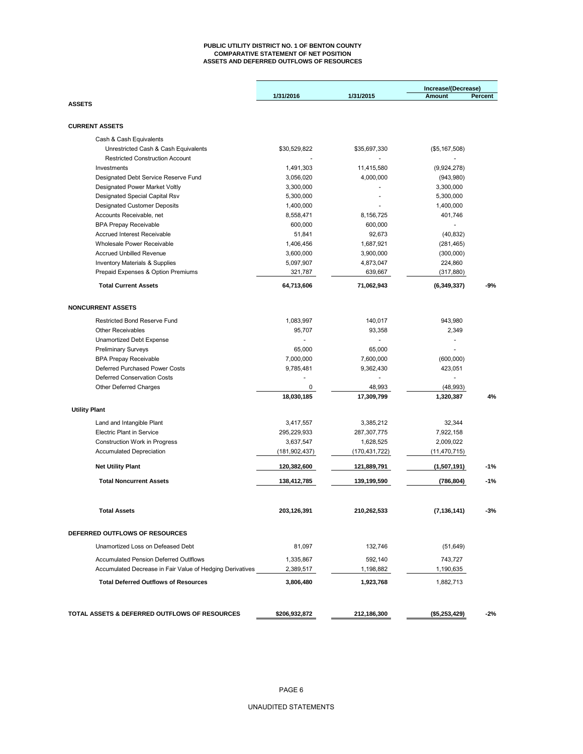#### **PUBLIC UTILITY DISTRICT NO. 1 OF BENTON COUNTY COMPARATIVE STATEMENT OF NET POSITION ASSETS AND DEFERRED OUTFLOWS OF RESOURCES**

|                                                                                                            |                        |                      | Increase/(Decrease)  |         |
|------------------------------------------------------------------------------------------------------------|------------------------|----------------------|----------------------|---------|
|                                                                                                            | 1/31/2016              | 1/31/2015            | Amount               | Percent |
| <b>ASSETS</b>                                                                                              |                        |                      |                      |         |
| <b>CURRENT ASSETS</b>                                                                                      |                        |                      |                      |         |
|                                                                                                            |                        |                      |                      |         |
| Cash & Cash Equivalents<br>Unrestricted Cash & Cash Equivalents                                            | \$30,529,822           | \$35,697,330         |                      |         |
| <b>Restricted Construction Account</b>                                                                     |                        |                      | (\$5,167,508)        |         |
| Investments                                                                                                | 1,491,303              | 11,415,580           | (9,924,278)          |         |
| Designated Debt Service Reserve Fund                                                                       | 3,056,020              | 4,000,000            | (943, 980)           |         |
| Designated Power Market Voltly                                                                             | 3,300,000              |                      | 3,300,000            |         |
| Designated Special Capital Rsv                                                                             | 5,300,000              |                      | 5,300,000            |         |
| <b>Designated Customer Deposits</b>                                                                        | 1,400,000              |                      | 1,400,000            |         |
| Accounts Receivable, net                                                                                   | 8,558,471              | 8,156,725            | 401,746              |         |
| <b>BPA Prepay Receivable</b>                                                                               | 600,000                | 600,000              |                      |         |
| Accrued Interest Receivable                                                                                | 51,841                 | 92,673               | (40, 832)            |         |
| Wholesale Power Receivable                                                                                 | 1,406,456              | 1,687,921            | (281,465)            |         |
| <b>Accrued Unbilled Revenue</b>                                                                            | 3,600,000              | 3,900,000            | (300,000)            |         |
| <b>Inventory Materials &amp; Supplies</b>                                                                  | 5,097,907              | 4,873,047            | 224,860              |         |
| Prepaid Expenses & Option Premiums                                                                         | 321,787                | 639,667              | (317, 880)           |         |
|                                                                                                            |                        |                      |                      |         |
| <b>Total Current Assets</b>                                                                                | 64,713,606             | 71,062,943           | (6, 349, 337)        | -9%     |
| <b>NONCURRENT ASSETS</b>                                                                                   |                        |                      |                      |         |
| <b>Restricted Bond Reserve Fund</b>                                                                        | 1,083,997              | 140,017              | 943,980              |         |
| <b>Other Receivables</b>                                                                                   | 95,707                 | 93,358               | 2,349                |         |
| <b>Unamortized Debt Expense</b>                                                                            |                        |                      |                      |         |
| <b>Preliminary Surveys</b>                                                                                 | 65,000                 | 65,000               |                      |         |
| <b>BPA Prepay Receivable</b>                                                                               | 7,000,000              | 7,600,000            | (600,000)            |         |
| Deferred Purchased Power Costs                                                                             | 9,785,481              | 9,362,430            | 423,051              |         |
| Deferred Conservation Costs                                                                                |                        | ÷,                   | ÷,                   |         |
| Other Deferred Charges                                                                                     | 0                      | 48,993               | (48,993)             |         |
|                                                                                                            | 18,030,185             | 17,309,799           | 1,320,387            | 4%      |
| <b>Utility Plant</b>                                                                                       |                        |                      |                      |         |
| Land and Intangible Plant                                                                                  | 3,417,557              | 3,385,212            | 32,344               |         |
| <b>Electric Plant in Service</b>                                                                           | 295,229,933            | 287,307,775          | 7,922,158            |         |
| <b>Construction Work in Progress</b>                                                                       | 3,637,547              | 1,628,525            | 2,009,022            |         |
| <b>Accumulated Depreciation</b>                                                                            | (181, 902, 437)        | (170, 431, 722)      | (11, 470, 715)       |         |
| <b>Net Utility Plant</b>                                                                                   | 120,382,600            | 121,889,791          | (1,507,191)          | $-1%$   |
| <b>Total Noncurrent Assets</b>                                                                             | 138,412,785            | 139,199,590          | (786, 804)           | $-1%$   |
|                                                                                                            |                        |                      |                      |         |
| <b>Total Assets</b>                                                                                        | 203,126,391            | 210,262,533          | (7, 136, 141)        | -3%     |
| DEFERRED OUTFLOWS OF RESOURCES                                                                             |                        |                      |                      |         |
| Unamortized Loss on Defeased Debt                                                                          | 81,097                 | 132,746              | (51, 649)            |         |
|                                                                                                            |                        |                      |                      |         |
| <b>Accumulated Pension Deferred Outlflows</b><br>Accumulated Decrease in Fair Value of Hedging Derivatives | 1,335,867<br>2,389,517 | 592,140<br>1,198,882 | 743,727<br>1,190,635 |         |
| <b>Total Deferred Outflows of Resources</b>                                                                | 3,806,480              | 1,923,768            | 1,882,713            |         |
|                                                                                                            |                        |                      |                      |         |
| TOTAL ASSETS & DEFERRED OUTFLOWS OF RESOURCES                                                              | \$206,932,872          | 212,186,300          | (\$5,253,429)        | $-2%$   |
|                                                                                                            |                        |                      |                      |         |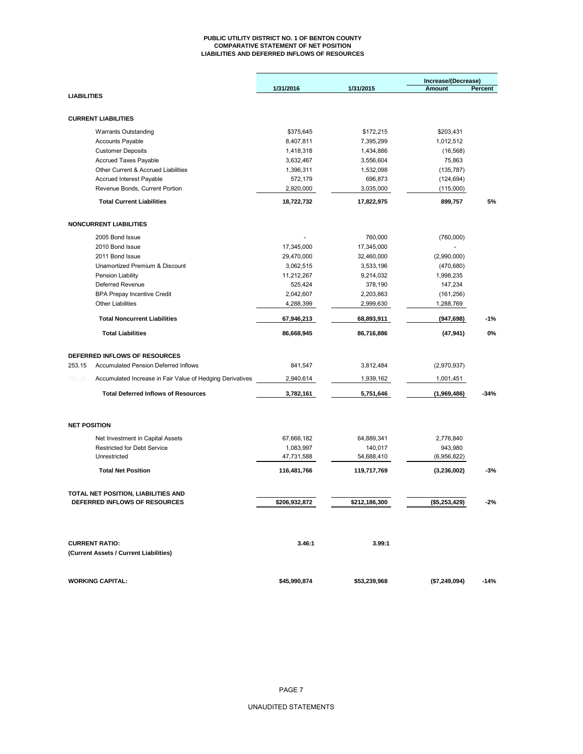#### **PUBLIC UTILITY DISTRICT NO. 1 OF BENTON COUNTY COMPARATIVE STATEMENT OF NET POSITION LIABILITIES AND DEFERRED INFLOWS OF RESOURCES**

|                     |                                                           |               | Increase/(Decrease) |               |         |
|---------------------|-----------------------------------------------------------|---------------|---------------------|---------------|---------|
|                     |                                                           | 1/31/2016     | 1/31/2015           | <b>Amount</b> | Percent |
| <b>LIABILITIES</b>  |                                                           |               |                     |               |         |
|                     |                                                           |               |                     |               |         |
|                     | <b>CURRENT LIABILITIES</b>                                |               |                     |               |         |
|                     | <b>Warrants Outstanding</b>                               | \$375,645     | \$172,215           | \$203,431     |         |
|                     | <b>Accounts Payable</b>                                   | 8,407,811     | 7,395,299           | 1,012,512     |         |
|                     | <b>Customer Deposits</b>                                  | 1,418,318     | 1,434,886           | (16, 568)     |         |
|                     | Accrued Taxes Payable                                     | 3,632,467     | 3,556,604           | 75,863        |         |
|                     | Other Current & Accrued Liabilities                       | 1,396,311     | 1,532,098           | (135, 787)    |         |
|                     | <b>Accrued Interest Payable</b>                           | 572,179       | 696,873             | (124, 694)    |         |
|                     | Revenue Bonds, Current Portion                            | 2,920,000     | 3,035,000           | (115,000)     |         |
|                     | <b>Total Current Liabilities</b>                          | 18,722,732    | 17,822,975          | 899,757       | 5%      |
|                     | <b>NONCURRENT LIABILITIES</b>                             |               |                     |               |         |
|                     | 2005 Bond Issue                                           |               | 760,000             | (760,000)     |         |
|                     | 2010 Bond Issue                                           | 17,345,000    | 17,345,000          |               |         |
|                     | 2011 Bond Issue                                           | 29,470,000    | 32,460,000          | (2,990,000)   |         |
|                     | Unamortized Premium & Discount                            | 3,062,515     | 3,533,196           | (470, 680)    |         |
|                     | Pension Liability                                         | 11,212,267    | 9,214,032           | 1,998,235     |         |
|                     | Deferred Revenue                                          | 525,424       | 378,190             | 147,234       |         |
|                     | <b>BPA Prepay Incentive Credit</b>                        | 2,042,607     | 2,203,863           | (161, 256)    |         |
|                     | <b>Other Liabilities</b>                                  | 4,288,399     | 2,999,630           | 1,288,769     |         |
|                     | <b>Total Noncurrent Liabilities</b>                       | 67,946,213    | 68,893,911          | (947, 698)    | $-1%$   |
|                     |                                                           | 86,668,945    | 86,716,886          |               |         |
|                     | <b>Total Liabilities</b>                                  |               |                     | (47, 941)     | 0%      |
|                     |                                                           |               |                     |               |         |
|                     | DEFERRED INFLOWS OF RESOURCES                             |               |                     |               |         |
| 253.15              | <b>Accumulated Pension Deferred Inflows</b>               | 841,547       | 3,812,484           | (2,970,937)   |         |
| 253.25              | Accumulated Increase in Fair Value of Hedging Derivatives | 2,940,614     | 1,939,162           | 1,001,451     |         |
|                     | <b>Total Deferred Inflows of Resources</b>                | 3,782,161     | 5,751,646           | (1,969,486)   | $-34%$  |
|                     |                                                           |               |                     |               |         |
| <b>NET POSITION</b> |                                                           |               |                     |               |         |
|                     | Net Investment in Capital Assets                          | 67,666,182    | 64,889,341          | 2,776,840     |         |
|                     | <b>Restricted for Debt Service</b>                        | 1,083,997     | 140,017             | 943,980       |         |
|                     | Unrestricted                                              | 47,731,588    | 54,688,410          | (6,956,822)   |         |
|                     | <b>Total Net Position</b>                                 | 116,481,766   | 119,717,769         | (3,236,002)   | -3%     |
|                     | TOTAL NET POSITION, LIABILITIES AND                       |               |                     |               |         |
|                     | DEFERRED INFLOWS OF RESOURCES                             | \$206,932,872 | \$212,186,300       | (\$5,253,429) | $-2%$   |
|                     |                                                           |               |                     |               |         |
|                     | <b>CURRENT RATIO:</b>                                     | 3.46:1        | 3.99:1              |               |         |
|                     | (Current Assets / Current Liabilities)                    |               |                     |               |         |
|                     |                                                           |               |                     |               |         |
|                     | <b>WORKING CAPITAL:</b>                                   | \$45,990,874  | \$53,239,968        | (\$7,249,094) | $-14%$  |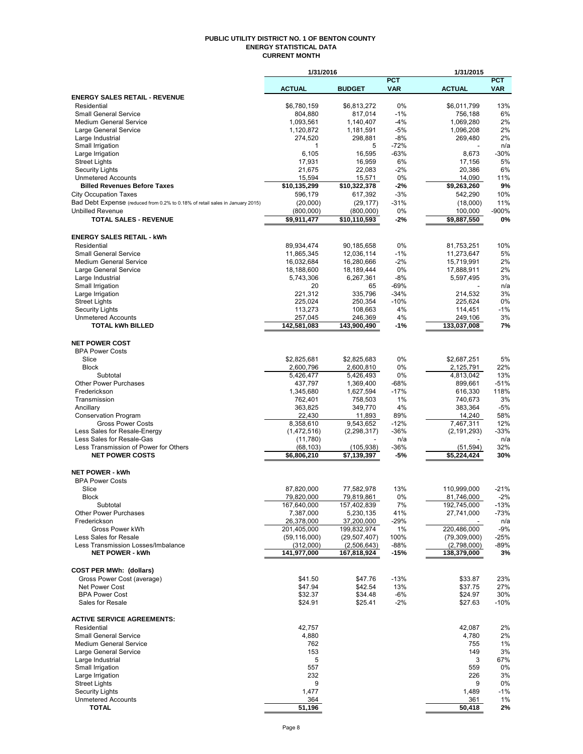#### **PUBLIC UTILITY DISTRICT NO. 1 OF BENTON COUNTY ENERGY STATISTICAL DATA CURRENT MONTH**

|                                                                               | 1/31/2016                 |                           |                  | 1/31/2015              |                |
|-------------------------------------------------------------------------------|---------------------------|---------------------------|------------------|------------------------|----------------|
|                                                                               |                           |                           | <b>PCT</b>       |                        | <b>PCT</b>     |
| <b>ENERGY SALES RETAIL - REVENUE</b>                                          | <b>ACTUAL</b>             | <b>BUDGET</b>             | <b>VAR</b>       | <b>ACTUAL</b>          | <b>VAR</b>     |
| Residential                                                                   | \$6,780,159               | \$6,813,272               | 0%               | \$6,011,799            | 13%            |
| <b>Small General Service</b>                                                  | 804,880                   | 817,014                   | $-1%$            | 756,188                | 6%             |
| <b>Medium General Service</b>                                                 | 1,093,561                 | 1,140,407                 | $-4%$            | 1,069,280              | 2%             |
| Large General Service                                                         | 1,120,872                 | 1,181,591                 | $-5%$            | 1,096,208              | 2%             |
| Large Industrial                                                              | 274,520                   | 298,881                   | $-8%$            | 269,480                | 2%             |
| Small Irrigation                                                              | 1<br>6,105                | 5<br>16,595               | $-72%$<br>$-63%$ | 8,673                  | n/a<br>$-30%$  |
| Large Irrigation<br><b>Street Lights</b>                                      | 17,931                    | 16,959                    | 6%               | 17,156                 | 5%             |
| Security Lights                                                               | 21.675                    | 22,083                    | $-2%$            | 20,386                 | 6%             |
| <b>Unmetered Accounts</b>                                                     | 15,594                    | 15,571                    | 0%               | 14,090                 | 11%            |
| <b>Billed Revenues Before Taxes</b>                                           | \$10,135,299              | \$10,322,378              | -2%              | \$9,263,260            | 9%             |
| <b>City Occupation Taxes</b>                                                  | 596,179                   | 617,392                   | $-3%$            | 542,290                | 10%            |
| Bad Debt Expense (reduced from 0.2% to 0.18% of retail sales in January 2015) | (20,000)                  | (29, 177)                 | $-31%$           | (18,000)               | 11%            |
| <b>Unbilled Revenue</b>                                                       | (800,000)                 | (800,000)                 | 0%               | 100,000                | -900%          |
| <b>TOTAL SALES - REVENUE</b>                                                  | \$9,911,477               | \$10,110,593              | $-2%$            | \$9,887,550            | 0%             |
|                                                                               |                           |                           |                  |                        |                |
| <b>ENERGY SALES RETAIL - kWh</b><br>Residential                               | 89,934,474                | 90,185,658                | 0%               | 81,753,251             | 10%            |
| <b>Small General Service</b>                                                  | 11,865,345                | 12,036,114                | $-1%$            | 11,273,647             | 5%             |
| <b>Medium General Service</b>                                                 | 16,032,684                | 16,280,666                | $-2%$            | 15,719,991             | 2%             |
| Large General Service                                                         | 18,188,600                | 18,189,444                | 0%               | 17,888,911             | 2%             |
| Large Industrial                                                              | 5,743,306                 | 6,267,361                 | $-8%$            | 5,597,495              | 3%             |
| Small Irrigation                                                              | 20                        | 65                        | $-69%$           |                        | n/a            |
| Large Irrigation                                                              | 221,312                   | 335,796                   | $-34%$           | 214,532                | 3%             |
| <b>Street Lights</b>                                                          | 225,024                   | 250,354                   | $-10%$           | 225,624                | 0%             |
| Security Lights                                                               | 113.273                   | 108,663                   | 4%               | 114,451                | $-1%$          |
| <b>Unmetered Accounts</b><br><b>TOTAL kWh BILLED</b>                          | 257,045<br>142,581,083    | 246,369<br>143,900,490    | 4%<br>$-1%$      | 249,106<br>133,037,008 | 3%<br>7%       |
|                                                                               |                           |                           |                  |                        |                |
| <b>NET POWER COST</b>                                                         |                           |                           |                  |                        |                |
| <b>BPA Power Costs</b>                                                        |                           |                           |                  |                        |                |
| Slice                                                                         | \$2,825,681               | \$2,825,683               | 0%               | \$2,687,251            | 5%             |
| <b>Block</b>                                                                  | 2,600,796                 | 2,600,810                 | 0%               | 2,125,791              | 22%            |
| Subtotal                                                                      | 5,426,477                 | 5,426,493                 | 0%               | 4,813,042              | 13%            |
| <b>Other Power Purchases</b><br>Frederickson                                  | 437,797                   | 1,369,400                 | $-68%$<br>$-17%$ | 899,661                | $-51%$<br>118% |
| Transmission                                                                  | 1,345,680<br>762,401      | 1,627,594<br>758,503      | 1%               | 616,330<br>740,673     | 3%             |
| Ancillary                                                                     | 363,825                   | 349,770                   | 4%               | 383,364                | -5%            |
| <b>Conservation Program</b>                                                   | 22,430                    | 11,893                    | 89%              | 14,240                 | 58%            |
| <b>Gross Power Costs</b>                                                      | 8,358,610                 | 9,543,652                 | $-12%$           | 7,467,311              | 12%            |
| Less Sales for Resale-Energy                                                  | (1,472,516)               | (2, 298, 317)             | $-36%$           | (2, 191, 293)          | $-33%$         |
| Less Sales for Resale-Gas                                                     | (11,780)                  |                           | n/a              |                        | n/a            |
| Less Transmission of Power for Others                                         | (68, 103)                 | (105, 938)<br>\$7,139,397 | -36%             | (51, 594)              | 32%            |
| <b>NET POWER COSTS</b>                                                        | \$6,806,210               |                           | $-5%$            | \$5,224,424            | 30%            |
| <b>NET POWER - kWh</b>                                                        |                           |                           |                  |                        |                |
| <b>BPA Power Costs</b>                                                        |                           |                           |                  |                        |                |
| Slice                                                                         | 87,820,000                | 77,582,978                | 13%              | 110,999,000            | $-21%$         |
| <b>Block</b>                                                                  | 79,820,000                | 79,819,861                | 0%               | 81,746,000             | $-2%$          |
| Subtotal                                                                      | 167,640,000               | 157,402,839               | 7%               | 192,745,000            | $-13%$         |
| <b>Other Power Purchases</b>                                                  | 7,387,000                 | 5,230,135                 | 41%              | 27,741,000             | -73%           |
| Frederickson<br>Gross Power kWh                                               | 26,378,000<br>201,405,000 | 37,200,000<br>199,832,974 | -29%<br>1%       | 220,486,000            | n/a<br>$-9%$   |
| Less Sales for Resale                                                         | (59, 116, 000)            | (29, 507, 407)            | 100%             | (79,309,000)           | -25%           |
| Less Transmission Losses/Imbalance                                            | (312,000)                 | (2,506,643)               | -88%             | (2,798,000)            | -89%           |
| <b>NET POWER - kWh</b>                                                        | 141,977,000               | 167,818,924               | -15%             | 138,379,000            | 3%             |
|                                                                               |                           |                           |                  |                        |                |
| <b>COST PER MWh: (dollars)</b>                                                |                           |                           |                  |                        |                |
| Gross Power Cost (average)                                                    | \$41.50                   | \$47.76                   | $-13%$           | \$33.87                | 23%            |
| Net Power Cost                                                                | \$47.94                   | \$42.54                   | 13%              | \$37.75                | 27%            |
| <b>BPA Power Cost</b><br>Sales for Resale                                     | \$32.37<br>\$24.91        | \$34.48<br>\$25.41        | $-6%$<br>$-2%$   | \$24.97<br>\$27.63     | 30%<br>$-10%$  |
|                                                                               |                           |                           |                  |                        |                |
| <b>ACTIVE SERVICE AGREEMENTS:</b>                                             |                           |                           |                  |                        |                |
| Residential                                                                   | 42,757                    |                           |                  | 42,087                 | 2%             |
| <b>Small General Service</b>                                                  | 4,880                     |                           |                  | 4,780                  | 2%             |
| <b>Medium General Service</b>                                                 | 762                       |                           |                  | 755                    | 1%             |
| Large General Service                                                         | 153                       |                           |                  | 149                    | 3%             |
| Large Industrial                                                              | 5                         |                           |                  | 3                      | 67%            |
| Small Irrigation                                                              | 557                       |                           |                  | 559                    | 0%             |
| Large Irrigation<br><b>Street Lights</b>                                      | 232<br>9                  |                           |                  | 226<br>9               | 3%<br>0%       |
| <b>Security Lights</b>                                                        | 1,477                     |                           |                  | 1,489                  | $-1%$          |
| <b>Unmetered Accounts</b>                                                     | 364                       |                           |                  | 361                    | 1%             |
| <b>TOTAL</b>                                                                  | 51,196                    |                           |                  | 50,418                 | 2%             |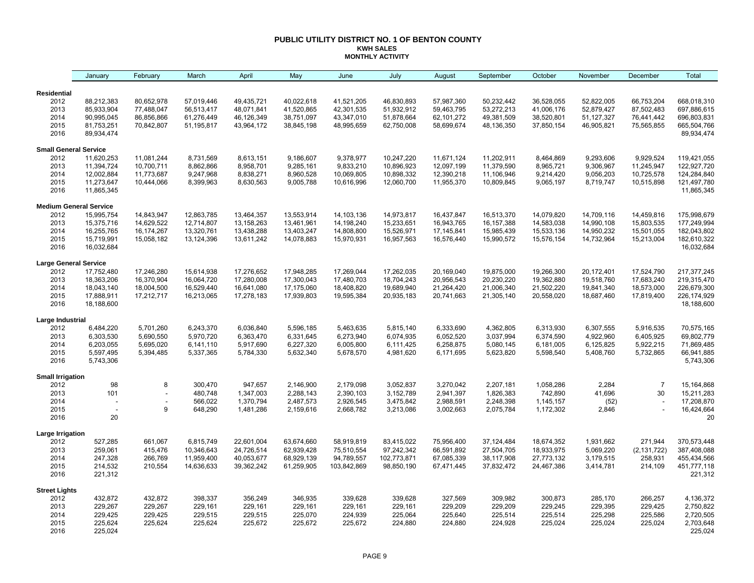#### **PUBLIC UTILITY DISTRICT NO. 1 OF BENTON COUNTY KWH SALES MONTHLY ACTIVITY**

|                              | January                                     | February                 | March              | April              | May                | June               | July               | August             | September          | October            | November           | December           | Total                       |
|------------------------------|---------------------------------------------|--------------------------|--------------------|--------------------|--------------------|--------------------|--------------------|--------------------|--------------------|--------------------|--------------------|--------------------|-----------------------------|
| <b>Residential</b>           |                                             |                          |                    |                    |                    |                    |                    |                    |                    |                    |                    |                    |                             |
| 2012                         | 88,212,383                                  | 80,652,978               | 57,019,446         | 49,435,721         | 40,022,618         | 41,521,205         | 46,830,893         | 57,987,360         | 50,232,442         | 36,528,055         | 52,822,005         | 66,753,204         | 668,018,310                 |
| 2013                         | 85,933,904                                  | 77,488,047               | 56,513,417         | 48,071,841         | 41,520,865         | 42,301,535         | 51,932,912         | 59,463,795         | 53,272,213         | 41,006,176         | 52,879,427         | 87,502,483         | 697,886,615                 |
| 2014                         | 90,995,045                                  | 86,856,866               | 61,276,449         | 46,126,349         | 38,751,097         | 43,347,010         | 51,878,664         | 62,101,272         | 49,381,509         | 38,520,801         | 51, 127, 327       | 76,441,442         | 696,803,831                 |
| 2015                         | 81,753,251                                  | 70,842,807               | 51,195,817         | 43,964,172         | 38,845,198         | 48,995,659         | 62,750,008         | 58,699,674         | 48,136,350         | 37,850,154         | 46,905,821         | 75,565,855         | 665,504,766                 |
| 2016                         | 89,934,474                                  |                          |                    |                    |                    |                    |                    |                    |                    |                    |                    |                    | 89,934,474                  |
| <b>Small General Service</b> |                                             |                          |                    |                    |                    |                    |                    |                    |                    |                    |                    |                    |                             |
| 2012                         | 11,620,253                                  | 11,081,244               | 8,731,569          | 8,613,151          | 9,186,607          | 9,378,977          | 10,247,220         | 11,671,124         | 11,202,911         | 8,464,869          | 9,293,606          | 9,929,524          | 119,421,055                 |
| 2013                         | 11,394,724                                  | 10,700,711               | 8,862,866          | 8,958,701          | 9,285,161          | 9,833,210          | 10,896,923         | 12,097,199         | 11,379,590         | 8,965,721          | 9,306,967          | 11,245,947         | 122,927,720                 |
| 2014                         | 12,002,884                                  | 11,773,687               | 9,247,968          | 8,838,271          | 8,960,528          | 10,069,805         | 10,898,332         | 12,390,218         | 11,106,946         | 9,214,420          | 9,056,203          | 10,725,578         | 124,284,840                 |
| 2015<br>2016                 | 11,273,647<br>11,865,345                    | 10,444,066               | 8,399,963          | 8,630,563          | 9,005,788          | 10,616,996         | 12,060,700         | 11,955,370         | 10,809,845         | 9,065,197          | 8,719,747          | 10,515,898         | 121,497,780<br>11,865,345   |
|                              |                                             |                          |                    |                    |                    |                    |                    |                    |                    |                    |                    |                    |                             |
| 2012                         | <b>Medium General Service</b><br>15,995,754 | 14,843,947               | 12,863,785         | 13,464,357         | 13,553,914         | 14,103,136         | 14,973,817         | 16,437,847         | 16,513,370         | 14,079,820         | 14,709,116         | 14,459,816         | 175,998,679                 |
| 2013                         | 15,375,716                                  | 14,629,522               | 12,714,807         | 13,158,263         | 13,461,961         | 14,198,240         | 15,233,651         | 16,943,765         | 16, 157, 388       | 14,583,038         | 14,990,108         | 15,803,535         | 177,249,994                 |
| 2014                         | 16,255,765                                  | 16,174,267               | 13,320,761         | 13,438,288         | 13,403,247         | 14,808,800         | 15,526,971         | 17, 145, 841       | 15,985,439         | 15,533,136         | 14,950,232         | 15,501,055         | 182,043,802                 |
| 2015                         | 15,719,991                                  | 15,058,182               | 13,124,396         | 13,611,242         | 14,078,883         | 15,970,931         | 16,957,563         | 16,576,440         | 15,990,572         | 15,576,154         | 14,732,964         | 15,213,004         | 182,610,322                 |
| 2016                         | 16,032,684                                  |                          |                    |                    |                    |                    |                    |                    |                    |                    |                    |                    | 16,032,684                  |
| <b>Large General Service</b> |                                             |                          |                    |                    |                    |                    |                    |                    |                    |                    |                    |                    |                             |
| 2012                         | 17,752,480                                  | 17,246,280               | 15,614,938         | 17,276,652         | 17,948,285         | 17,269,044         | 17,262,035         | 20,169,040         | 19,875,000         | 19,266,300         | 20,172,401         | 17,524,790         | 217, 377, 245               |
| 2013                         | 18,363,206                                  | 16,370,904               | 16,064,720         | 17,280,008         | 17,300,043         | 17,480,703         | 18,704,243         | 20,956,543         | 20,230,220         | 19,362,880         | 19,518,760         | 17,683,240         | 219,315,470                 |
| 2014                         | 18,043,140                                  | 18,004,500               | 16,529,440         | 16,641,080         | 17,175,060         | 18,408,820         | 19,689,940         | 21,264,420         | 21,006,340         | 21,502,220         | 19,841,340         | 18,573,000         | 226,679,300                 |
| 2015<br>2016                 | 17,888,911<br>18,188,600                    | 17,212,717               | 16,213,065         | 17,278,183         | 17,939,803         | 19,595,384         | 20,935,183         | 20,741,663         | 21,305,140         | 20,558,020         | 18,687,460         | 17,819,400         | 226, 174, 929<br>18,188,600 |
| Large Industrial             |                                             |                          |                    |                    |                    |                    |                    |                    |                    |                    |                    |                    |                             |
| 2012                         | 6,484,220                                   | 5,701,260                | 6,243,370          | 6,036,840          | 5,596,185          | 5,463,635          | 5,815,140          | 6,333,690          | 4,362,805          | 6,313,930          | 6,307,555          | 5,916,535          | 70,575,165                  |
| 2013                         | 6,303,530                                   | 5,690,550                | 5,970,720          | 6,363,470          | 6,331,645          | 6,273,940          | 6,074,935          | 6,052,520          | 3,037,994          | 6,374,590          | 4,922,960          | 6,405,925          | 69,802,779                  |
| 2014                         | 6,203,055                                   | 5,695,020                | 6,141,110          | 5,917,690          | 6,227,320          | 6,005,800          | 6,111,425          | 6,258,875          | 5,080,145          | 6,181,005          | 6,125,825          | 5,922,215          | 71,869,485                  |
| 2015                         | 5,597,495                                   | 5,394,485                | 5,337,365          | 5,784,330          | 5,632,340          | 5,678,570          | 4,981,620          | 6,171,695          | 5,623,820          | 5,598,540          | 5,408,760          | 5,732,865          | 66,941,885                  |
| 2016                         | 5,743,306                                   |                          |                    |                    |                    |                    |                    |                    |                    |                    |                    |                    | 5,743,306                   |
| <b>Small Irrigation</b>      |                                             |                          |                    |                    |                    |                    |                    |                    |                    |                    |                    |                    |                             |
| 2012                         | 98                                          | 8                        | 300,470            | 947,657            | 2,146,900          | 2,179,098          | 3,052,837          | 3,270,042          | 2,207,181          | 1,058,286          | 2,284              | $\overline{7}$     | 15,164,868                  |
| 2013                         | 101                                         |                          | 480.748            | 1,347,003          | 2,288,143          | 2,390,103          | 3,152,789          | 2,941,397          | 1,826,383          | 742,890            | 41,696             | 30                 | 15,211,283                  |
| 2014                         |                                             | $\overline{\phantom{a}}$ | 566,022            | 1,370,794          | 2,487,573          | 2,926,545          | 3,475,842          | 2,988,591          | 2,248,398          | 1,145,157          | (52)               |                    | 17,208,870                  |
| 2015<br>2016                 | 20                                          | 9                        | 648,290            | 1,481,286          | 2,159,616          | 2,668,782          | 3,213,086          | 3,002,663          | 2,075,784          | 1,172,302          | 2,846              |                    | 16,424,664<br>20            |
| Large Irrigation             |                                             |                          |                    |                    |                    |                    |                    |                    |                    |                    |                    |                    |                             |
| 2012                         | 527,285                                     | 661,067                  | 6,815,749          | 22,601,004         | 63,674,660         | 58,919,819         | 83,415,022         | 75,956,400         | 37,124,484         | 18,674,352         | 1,931,662          | 271,944            | 370,573,448                 |
| 2013                         | 259,061                                     | 415,476                  | 10,346,643         | 24,726,514         | 62,939,428         | 75,510,554         | 97,242,342         | 66,591,892         | 27,504,705         | 18,933,975         | 5,069,220          | (2, 131, 722)      | 387,408,088                 |
| 2014                         | 247,328                                     | 266,769                  | 11,959,400         | 40,053,677         | 68,929,139         | 94,789,557         | 102,773,871        | 67,085,339         | 38,117,908         | 27,773,132         | 3,179,515          | 258,931            | 455,434,566                 |
| 2015                         | 214,532                                     | 210,554                  | 14,636,633         | 39,362,242         | 61,259,905         | 103,842,869        | 98,850,190         | 67,471,445         | 37,832,472         | 24,467,386         | 3,414,781          | 214,109            | 451,777,118                 |
| 2016                         | 221,312                                     |                          |                    |                    |                    |                    |                    |                    |                    |                    |                    |                    | 221,312                     |
| <b>Street Lights</b>         |                                             |                          |                    |                    |                    |                    |                    |                    |                    |                    |                    |                    |                             |
| 2012                         | 432,872                                     | 432,872                  | 398,337            | 356,249            | 346,935            | 339,628            | 339,628            | 327,569            | 309,982            | 300,873            | 285,170            | 266,257            | 4,136,372                   |
| 2013                         | 229,267                                     | 229,267                  | 229,161            | 229,161            | 229,161            | 229,161            | 229,161            | 229,209            | 229,209            | 229,245            | 229,395            | 229,425            | 2,750,822                   |
| 2014<br>2015                 | 229,425<br>225,624                          | 229,425<br>225,624       | 229,515<br>225,624 | 229,515<br>225,672 | 225,070<br>225,672 | 224,939<br>225,672 | 225,064<br>224,880 | 225,640<br>224,880 | 225,514<br>224,928 | 225,514<br>225,024 | 225,298<br>225,024 | 225,586<br>225,024 | 2,720,505<br>2,703,648      |
| 2016                         | 225,024                                     |                          |                    |                    |                    |                    |                    |                    |                    |                    |                    |                    | 225,024                     |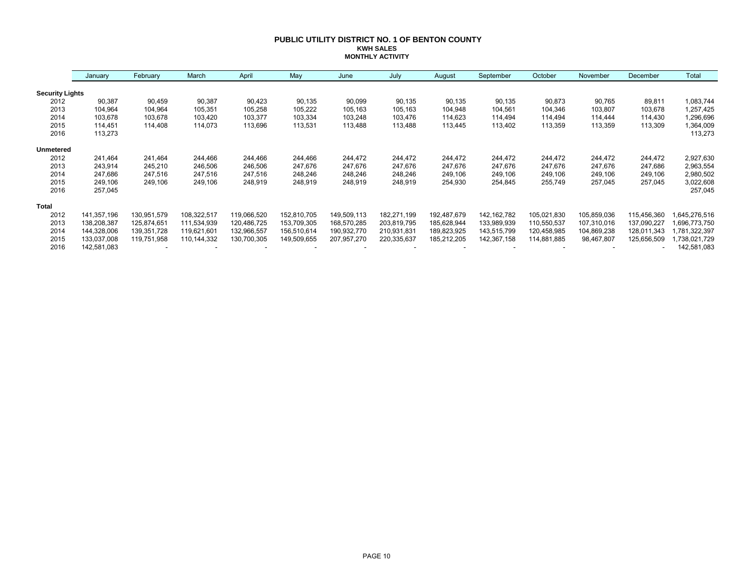#### **PUBLIC UTILITY DISTRICT NO. 1 OF BENTON COUNTY KWH SALES MONTHLY ACTIVITY**

|                        | January     | February    | March         | April       | May         | June        | July        | August      | September     | October     | November    | December    | Total        |
|------------------------|-------------|-------------|---------------|-------------|-------------|-------------|-------------|-------------|---------------|-------------|-------------|-------------|--------------|
| <b>Security Lights</b> |             |             |               |             |             |             |             |             |               |             |             |             |              |
| 2012                   | 90,387      | 90,459      | 90,387        | 90,423      | 90,135      | 90,099      | 90,135      | 90,135      | 90,135        | 90,873      | 90,765      | 89,811      | 1,083,744    |
| 2013                   | 104,964     | 104,964     | 105,351       | 105,258     | 105,222     | 105,163     | 105,163     | 104,948     | 104,561       | 104,346     | 103,807     | 103,678     | 1,257,425    |
| 2014                   | 103,678     | 103,678     | 103,420       | 103,377     | 103,334     | 103,248     | 103,476     | 114,623     | 114,494       | 114,494     | 114,444     | 114,430     | 1,296,696    |
| 2015                   | 114.451     | 114,408     | 114,073       | 113,696     | 113,531     | 113,488     | 113,488     | 113,445     | 113,402       | 113,359     | 113,359     | 113,309     | 1,364,009    |
| 2016                   | 113,273     |             |               |             |             |             |             |             |               |             |             |             | 113,273      |
| <b>Unmetered</b>       |             |             |               |             |             |             |             |             |               |             |             |             |              |
| 2012                   | 241,464     | 241,464     | 244,466       | 244,466     | 244,466     | 244,472     | 244,472     | 244,472     | 244,472       | 244,472     | 244,472     | 244,472     | 2,927,630    |
| 2013                   | 243,914     | 245,210     | 246,506       | 246,506     | 247,676     | 247,676     | 247,676     | 247,676     | 247,676       | 247,676     | 247,676     | 247,686     | 2,963,554    |
| 2014                   | 247.686     | 247,516     | 247,516       | 247,516     | 248,246     | 248,246     | 248,246     | 249,106     | 249,106       | 249,106     | 249,106     | 249,106     | 2,980,502    |
| 2015                   | 249.106     | 249,106     | 249,106       | 248,919     | 248,919     | 248,919     | 248,919     | 254,930     | 254,845       | 255,749     | 257,045     | 257,045     | 3,022,608    |
| 2016                   | 257,045     |             |               |             |             |             |             |             |               |             |             |             | 257,045      |
| <b>Total</b>           |             |             |               |             |             |             |             |             |               |             |             |             |              |
| 2012                   | 141,357,196 | 130,951,579 | 108,322,517   | 119,066,520 | 152,810,705 | 149,509,113 | 182,271,199 | 192,487,679 | 142, 162, 782 | 105,021,830 | 105,859,036 | 115,456,360 | 645,276,516  |
| 2013                   | 138,208,387 | 125,874,651 | 111,534,939   | 120,486,725 | 153,709,305 | 168,570,285 | 203,819,795 | 185,628,944 | 133,989,939   | 110,550,537 | 107,310,016 | 137,090,227 | .696,773,750 |
| 2014                   | 144,328,006 | 139,351,728 | 119,621,601   | 132,966,557 | 156,510,614 | 190,932,770 | 210,931,831 | 189,823,925 | 143,515,799   | 120,458,985 | 104,869,238 | 128,011,343 | ,781,322,397 |
| 2015                   | 133,037,008 | 119,751,958 | 110, 144, 332 | 130,700,305 | 149,509,655 | 207,957,270 | 220,335,637 | 185,212,205 | 142,367,158   | 114,881,885 | 98,467,807  | 125,656,509 | ,738,021,729 |
| 2016                   | 142,581,083 |             |               |             |             |             |             |             |               |             |             |             | 142,581,083  |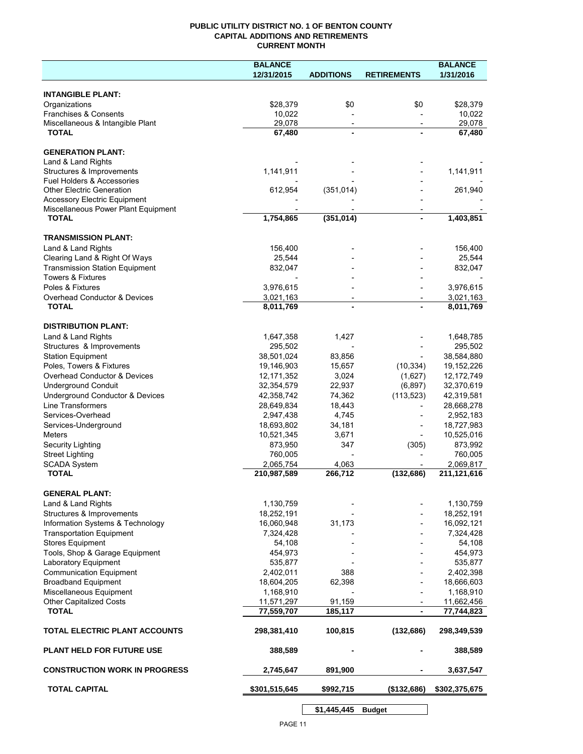## **PUBLIC UTILITY DISTRICT NO. 1 OF BENTON COUNTY CAPITAL ADDITIONS AND RETIREMENTS CURRENT MONTH**

|                                                                            | <b>BALANCE</b>        |                          |                          | <b>BALANCE</b>        |
|----------------------------------------------------------------------------|-----------------------|--------------------------|--------------------------|-----------------------|
|                                                                            | 12/31/2015            | <b>ADDITIONS</b>         | <b>RETIREMENTS</b>       | 1/31/2016             |
| <b>INTANGIBLE PLANT:</b>                                                   |                       |                          |                          |                       |
| Organizations                                                              | \$28,379              | \$0                      | \$0                      | \$28,379              |
| Franchises & Consents                                                      | 10,022                |                          |                          | 10,022                |
| Miscellaneous & Intangible Plant                                           | 29,078                | $\overline{\phantom{a}}$ | $\overline{\phantom{a}}$ | 29,078                |
| <b>TOTAL</b>                                                               | 67,480                | $\blacksquare$           |                          | 67,480                |
| <b>GENERATION PLANT:</b>                                                   |                       |                          |                          |                       |
| Land & Land Rights                                                         |                       |                          |                          |                       |
| Structures & Improvements                                                  | 1,141,911             |                          |                          | 1,141,911             |
| <b>Fuel Holders &amp; Accessories</b>                                      |                       |                          |                          |                       |
| <b>Other Electric Generation</b>                                           | 612,954               | (351, 014)               |                          | 261,940               |
| <b>Accessory Electric Equipment</b><br>Miscellaneous Power Plant Equipment |                       |                          |                          |                       |
| <b>TOTAL</b>                                                               | 1,754,865             | (351, 014)               |                          | 1,403,851             |
|                                                                            |                       |                          |                          |                       |
| <b>TRANSMISSION PLANT:</b>                                                 |                       |                          |                          |                       |
| Land & Land Rights                                                         | 156,400               |                          |                          | 156,400               |
| Clearing Land & Right Of Ways<br><b>Transmission Station Equipment</b>     | 25,544<br>832,047     |                          |                          | 25,544<br>832,047     |
| <b>Towers &amp; Fixtures</b>                                               |                       |                          |                          |                       |
| Poles & Fixtures                                                           | 3,976,615             |                          |                          | 3,976,615             |
| Overhead Conductor & Devices                                               | 3,021,163             |                          |                          | 3,021,163             |
| <b>TOTAL</b>                                                               | 8,011,769             |                          |                          | 8,011,769             |
|                                                                            |                       |                          |                          |                       |
| <b>DISTRIBUTION PLANT:</b>                                                 |                       |                          |                          |                       |
| Land & Land Rights                                                         | 1,647,358             | 1,427                    |                          | 1,648,785             |
| Structures & Improvements<br><b>Station Equipment</b>                      | 295,502<br>38,501,024 | 83,856                   |                          | 295,502<br>38,584,880 |
| Poles, Towers & Fixtures                                                   | 19,146,903            | 15,657                   | (10, 334)                | 19,152,226            |
| Overhead Conductor & Devices                                               | 12,171,352            | 3,024                    | (1,627)                  | 12,172,749            |
| <b>Underground Conduit</b>                                                 | 32,354,579            | 22,937                   | (6, 897)                 | 32,370,619            |
| Underground Conductor & Devices                                            | 42,358,742            | 74,362                   | (113, 523)               | 42,319,581            |
| <b>Line Transformers</b>                                                   | 28,649,834            | 18,443                   |                          | 28,668,278            |
| Services-Overhead                                                          | 2,947,438             | 4,745                    |                          | 2,952,183             |
| Services-Underground                                                       | 18,693,802            | 34,181                   |                          | 18,727,983            |
| <b>Meters</b>                                                              | 10,521,345            | 3,671                    |                          | 10,525,016            |
| Security Lighting                                                          | 873,950               | 347                      | (305)                    | 873,992               |
| <b>Street Lighting</b>                                                     | 760,005               |                          |                          | 760,005               |
| <b>SCADA System</b>                                                        | 2,065,754             | 4,063                    |                          | 2,069,817             |
| <b>TOTAL</b>                                                               | 210,987,589           | 266,712                  | (132, 686)               | 211,121,616           |
| <b>GENERAL PLANT:</b>                                                      |                       |                          |                          |                       |
| Land & Land Rights                                                         | 1,130,759             |                          |                          | 1,130,759             |
| Structures & Improvements                                                  | 18,252,191            |                          |                          | 18,252,191            |
| Information Systems & Technology                                           | 16,060,948            | 31,173                   |                          | 16,092,121            |
| <b>Transportation Equipment</b>                                            | 7,324,428             |                          |                          | 7,324,428             |
| <b>Stores Equipment</b>                                                    | 54,108                |                          |                          | 54,108                |
| Tools, Shop & Garage Equipment                                             | 454,973               |                          |                          | 454,973               |
| Laboratory Equipment                                                       | 535,877               |                          |                          | 535,877               |
| <b>Communication Equipment</b>                                             | 2,402,011             | 388                      |                          | 2,402,398             |
| <b>Broadband Equipment</b>                                                 | 18,604,205            | 62,398                   |                          | 18,666,603            |
| Miscellaneous Equipment                                                    | 1,168,910             |                          |                          | 1,168,910             |
| <b>Other Capitalized Costs</b>                                             | 11,571,297            | 91,159                   |                          | 11,662,456            |
| <b>TOTAL</b>                                                               | 77,559,707            | 185,117                  |                          | 77,744,823            |
| TOTAL ELECTRIC PLANT ACCOUNTS                                              | 298,381,410           | 100,815                  | (132, 686)               | 298,349,539           |
| <b>PLANT HELD FOR FUTURE USE</b>                                           | 388,589               |                          |                          | 388,589               |
| <b>CONSTRUCTION WORK IN PROGRESS</b>                                       | 2,745,647             | 891,900                  |                          | 3,637,547             |
| <b>TOTAL CAPITAL</b>                                                       | \$301,515,645         | \$992,715                | (\$132,686)              | \$302,375,675         |
|                                                                            |                       |                          |                          |                       |

**\$1,445,445 Budget**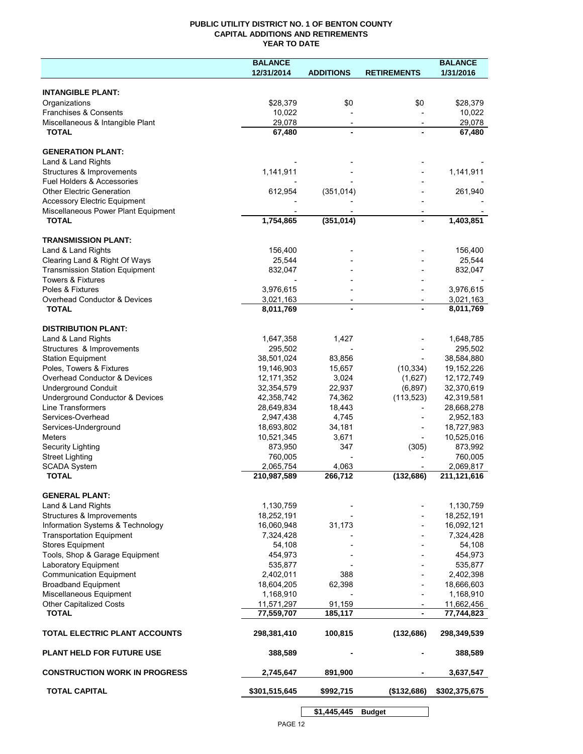## **PUBLIC UTILITY DISTRICT NO. 1 OF BENTON COUNTY CAPITAL ADDITIONS AND RETIREMENTS YEAR TO DATE**

|                                              | <b>BALANCE</b>         |                          |                          | <b>BALANCE</b>         |
|----------------------------------------------|------------------------|--------------------------|--------------------------|------------------------|
|                                              | 12/31/2014             | <b>ADDITIONS</b>         | <b>RETIREMENTS</b>       | 1/31/2016              |
|                                              |                        |                          |                          |                        |
| <b>INTANGIBLE PLANT:</b>                     |                        |                          |                          |                        |
| Organizations                                | \$28,379               | \$0                      | \$0                      | \$28,379               |
| Franchises & Consents                        | 10,022                 |                          |                          | 10,022                 |
| Miscellaneous & Intangible Plant             | 29,078                 |                          |                          | 29,078                 |
| <b>TOTAL</b>                                 | 67,480                 |                          |                          | 67,480                 |
| <b>GENERATION PLANT:</b>                     |                        |                          |                          |                        |
| Land & Land Rights                           |                        |                          |                          |                        |
| Structures & Improvements                    | 1,141,911              |                          |                          | 1,141,911              |
| Fuel Holders & Accessories                   |                        |                          |                          |                        |
| <b>Other Electric Generation</b>             | 612,954                | (351, 014)               |                          | 261,940                |
| <b>Accessory Electric Equipment</b>          |                        |                          |                          |                        |
| Miscellaneous Power Plant Equipment          |                        |                          |                          |                        |
| <b>TOTAL</b>                                 | 1,754,865              | (351, 014)               |                          | 1,403,851              |
|                                              |                        |                          |                          |                        |
| <b>TRANSMISSION PLANT:</b>                   |                        |                          |                          |                        |
| Land & Land Rights                           | 156,400                |                          |                          | 156,400                |
| Clearing Land & Right Of Ways                | 25,544                 |                          |                          | 25,544                 |
| <b>Transmission Station Equipment</b>        | 832,047                |                          |                          | 832,047                |
| <b>Towers &amp; Fixtures</b>                 |                        |                          |                          |                        |
| Poles & Fixtures                             | 3,976,615              |                          |                          | 3,976,615              |
| Overhead Conductor & Devices<br><b>TOTAL</b> | 3,021,163<br>8,011,769 | $\overline{\phantom{a}}$ | $\overline{\phantom{a}}$ | 3,021,163<br>8,011,769 |
|                                              |                        |                          |                          |                        |
| <b>DISTRIBUTION PLANT:</b>                   |                        |                          |                          |                        |
| Land & Land Rights                           | 1,647,358              | 1,427                    |                          | 1,648,785              |
| Structures & Improvements                    | 295,502                |                          |                          | 295,502                |
| <b>Station Equipment</b>                     | 38,501,024             | 83,856                   |                          | 38,584,880             |
| Poles, Towers & Fixtures                     | 19,146,903             | 15,657                   | (10, 334)                | 19,152,226             |
| Overhead Conductor & Devices                 | 12,171,352             | 3,024                    | (1,627)                  | 12,172,749             |
| <b>Underground Conduit</b>                   | 32,354,579             | 22,937                   | (6, 897)                 | 32,370,619             |
| Underground Conductor & Devices              | 42,358,742             | 74,362                   | (113, 523)               | 42,319,581             |
| Line Transformers                            | 28,649,834             | 18,443                   |                          | 28,668,278             |
| Services-Overhead                            | 2,947,438              | 4,745                    |                          | 2,952,183              |
| Services-Underground                         | 18,693,802             | 34,181                   |                          | 18,727,983             |
| Meters                                       | 10,521,345             | 3,671                    |                          | 10,525,016             |
| Security Lighting                            | 873,950                | 347                      | (305)                    | 873,992                |
| <b>Street Lighting</b>                       | 760,005                |                          |                          | 760,005                |
| <b>SCADA System</b>                          | 2,065,754              | 4,063                    |                          | 2,069,817              |
| <b>TOTAL</b>                                 | 210,987,589            | 266,712                  | (132, 686)               | 211,121,616            |
| <b>GENERAL PLANT:</b>                        |                        |                          |                          |                        |
| Land & Land Rights                           | 1,130,759              |                          |                          | 1,130,759              |
| Structures & Improvements                    | 18,252,191             |                          |                          | 18,252,191             |
| Information Systems & Technology             | 16,060,948             | 31,173                   |                          | 16,092,121             |
| <b>Transportation Equipment</b>              | 7,324,428              |                          |                          | 7,324,428              |
| <b>Stores Equipment</b>                      | 54,108                 |                          |                          | 54,108                 |
| Tools, Shop & Garage Equipment               | 454,973                |                          |                          | 454,973                |
| Laboratory Equipment                         | 535,877                |                          |                          | 535,877                |
| <b>Communication Equipment</b>               | 2,402,011              | 388                      |                          | 2,402,398              |
| <b>Broadband Equipment</b>                   | 18,604,205             | 62,398                   |                          | 18,666,603             |
| Miscellaneous Equipment                      | 1,168,910              |                          |                          | 1,168,910              |
| Other Capitalized Costs                      | 11,571,297             | 91,159                   |                          | 11,662,456             |
| <b>TOTAL</b>                                 | 77,559,707             | 185,117                  | $\blacksquare$           | 77,744,823             |
| TOTAL ELECTRIC PLANT ACCOUNTS                | 298,381,410            | 100,815                  | (132, 686)               | 298,349,539            |
| <b>PLANT HELD FOR FUTURE USE</b>             | 388,589                |                          |                          | 388,589                |
| <b>CONSTRUCTION WORK IN PROGRESS</b>         | 2,745,647              | 891,900                  |                          | 3,637,547              |
|                                              |                        |                          |                          |                        |
| <b>TOTAL CAPITAL</b>                         | \$301,515,645          | \$992,715                | (\$132,686)              | \$302,375,675          |
|                                              |                        | \$1,445,445              | <b>Budget</b>            |                        |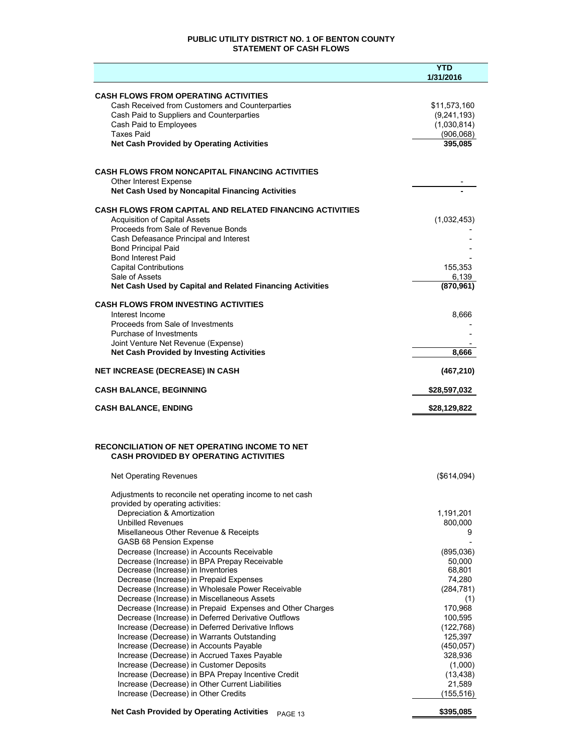## **PUBLIC UTILITY DISTRICT NO. 1 OF BENTON COUNTY STATEMENT OF CASH FLOWS**

|                                                                                                | <b>YTD</b><br>1/31/2016 |
|------------------------------------------------------------------------------------------------|-------------------------|
| <b>CASH FLOWS FROM OPERATING ACTIVITIES</b>                                                    |                         |
| Cash Received from Customers and Counterparties                                                | \$11,573,160            |
| Cash Paid to Suppliers and Counterparties                                                      | (9,241,193)             |
| Cash Paid to Employees                                                                         | (1,030,814)             |
| <b>Taxes Paid</b>                                                                              | (906, 068)              |
| <b>Net Cash Provided by Operating Activities</b>                                               | 395,085                 |
| <b>CASH FLOWS FROM NONCAPITAL FINANCING ACTIVITIES</b>                                         |                         |
| Other Interest Expense<br>Net Cash Used by Noncapital Financing Activities                     |                         |
| <b>CASH FLOWS FROM CAPITAL AND RELATED FINANCING ACTIVITIES</b>                                |                         |
| <b>Acquisition of Capital Assets</b>                                                           | (1,032,453)             |
| Proceeds from Sale of Revenue Bonds                                                            |                         |
| Cash Defeasance Principal and Interest                                                         |                         |
| <b>Bond Principal Paid</b>                                                                     |                         |
| <b>Bond Interest Paid</b>                                                                      |                         |
| <b>Capital Contributions</b>                                                                   | 155,353                 |
| Sale of Assets<br>Net Cash Used by Capital and Related Financing Activities                    | 6,139<br>(870, 961)     |
| <b>CASH FLOWS FROM INVESTING ACTIVITIES</b>                                                    |                         |
| Interest Income                                                                                | 8,666                   |
| Proceeds from Sale of Investments                                                              |                         |
| Purchase of Investments                                                                        |                         |
| Joint Venture Net Revenue (Expense)<br><b>Net Cash Provided by Investing Activities</b>        | 8,666                   |
|                                                                                                |                         |
| <b>NET INCREASE (DECREASE) IN CASH</b>                                                         | (467, 210)              |
| <b>CASH BALANCE, BEGINNING</b>                                                                 | \$28,597,032            |
| <b>CASH BALANCE, ENDING</b>                                                                    | \$28,129,822            |
| RECONCILIATION OF NET OPERATING INCOME TO NET<br><b>CASH PROVIDED BY OPERATING ACTIVITIES</b>  |                         |
| Net Operating Revenues                                                                         | $($ \$614,094 $)$       |
| Adjustments to reconcile net operating income to net cash<br>provided by operating activities: |                         |
| Depreciation & Amortization                                                                    | 1,191,201               |
| <b>Unbilled Revenues</b>                                                                       | 800,000                 |
| Misellaneous Other Revenue & Receipts<br>GASB 68 Pension Expense                               | 9                       |
| Decrease (Increase) in Accounts Receivable                                                     | (895,036)               |
| Decrease (Increase) in BPA Prepay Receivable                                                   | 50,000                  |
| Decrease (Increase) in Inventories                                                             | 68,801                  |
| Decrease (Increase) in Prepaid Expenses                                                        | 74,280                  |
| Decrease (Increase) in Wholesale Power Receivable                                              | (284, 781)              |
| Decrease (Increase) in Miscellaneous Assets                                                    | (1)                     |
| Decrease (Increase) in Prepaid Expenses and Other Charges                                      | 170,968                 |
| Decrease (Increase) in Deferred Derivative Outflows                                            | 100,595                 |
| Increase (Decrease) in Deferred Derivative Inflows                                             | (122, 768)              |
| Increase (Decrease) in Warrants Outstanding                                                    | 125,397                 |
| Increase (Decrease) in Accounts Payable                                                        | (450, 057)              |
| Increase (Decrease) in Accrued Taxes Payable<br>Increase (Decrease) in Customer Deposits       | 328,936<br>(1,000)      |
| Increase (Decrease) in BPA Prepay Incentive Credit                                             | (13, 438)               |
| Increase (Decrease) in Other Current Liabilities                                               | 21,589                  |
| Increase (Decrease) in Other Credits                                                           | (155, 516)              |
| <b>Net Cash Provided by Operating Activities</b><br>PAGE 13                                    | \$395,085               |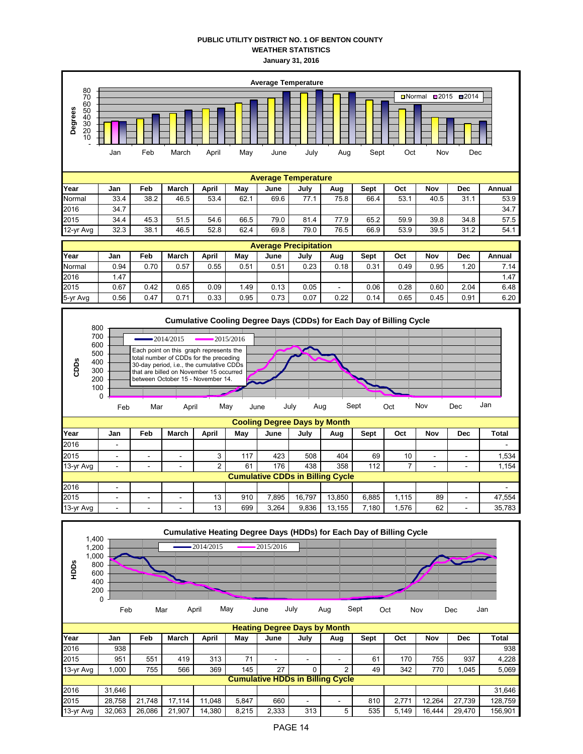## **PUBLIC UTILITY DISTRICT NO. 1 OF BENTON COUNTY WEATHER STATISTICS January 31, 2016**





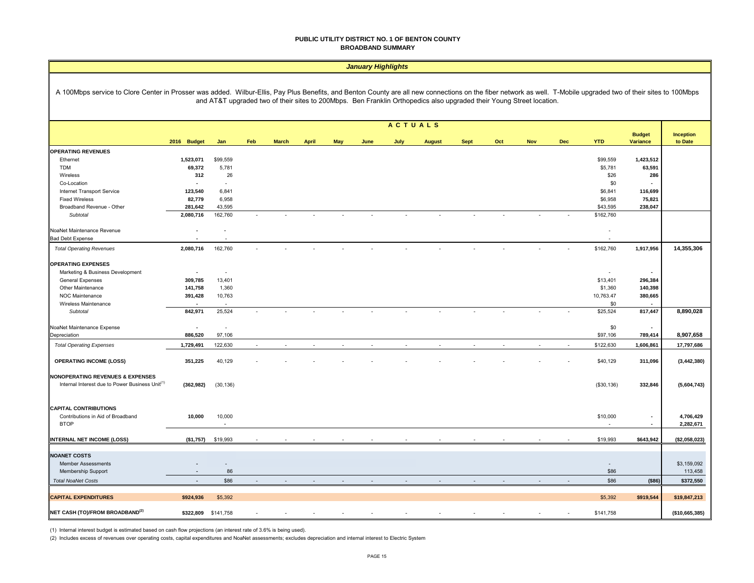#### **PUBLIC UTILITY DISTRICT NO. 1 OF BENTON COUNTY BROADBAND SUMMARY**

|                                                                                                                                                                                                                  |                          |                          |                |              |              |     | <b>January Highlights</b> |                |                                                                                                                      |             |     |            |        |                    |                   |                  |
|------------------------------------------------------------------------------------------------------------------------------------------------------------------------------------------------------------------|--------------------------|--------------------------|----------------|--------------|--------------|-----|---------------------------|----------------|----------------------------------------------------------------------------------------------------------------------|-------------|-----|------------|--------|--------------------|-------------------|------------------|
| A 100Mbps service to Clore Center in Prosser was added. Wilbur-Ellis, Pay Plus Benefits, and Benton County are all new connections on the fiber network as well. T-Mobile upgraded two of their sites to 100Mbps |                          |                          |                |              |              |     |                           |                | and AT&T upgraded two of their sites to 200Mbps. Ben Franklin Orthopedics also upgraded their Young Street location. |             |     |            |        |                    |                   |                  |
|                                                                                                                                                                                                                  |                          |                          |                |              |              |     |                           | <b>ACTUALS</b> |                                                                                                                      |             |     |            |        |                    |                   |                  |
|                                                                                                                                                                                                                  |                          |                          |                |              |              |     |                           |                |                                                                                                                      |             |     |            |        |                    | <b>Budget</b>     | <b>Inception</b> |
|                                                                                                                                                                                                                  | 2016 Budget              | Jan                      | Feb            | <b>March</b> | <b>April</b> | May | June                      | July           | <b>August</b>                                                                                                        | <b>Sept</b> | Oct | <b>Nov</b> | Dec    | <b>YTD</b>         | Variance          | to Date          |
| <b>OPERATING REVENUES</b>                                                                                                                                                                                        |                          |                          |                |              |              |     |                           |                |                                                                                                                      |             |     |            |        |                    |                   |                  |
| Ethernet                                                                                                                                                                                                         | 1,523,071                | \$99,559                 |                |              |              |     |                           |                |                                                                                                                      |             |     |            |        | \$99,559           | 1,423,512         |                  |
| <b>TDM</b>                                                                                                                                                                                                       | 69,372                   | 5,781                    |                |              |              |     |                           |                |                                                                                                                      |             |     |            |        | \$5,781            | 63,591            |                  |
| Wireless                                                                                                                                                                                                         | 312                      | 26                       |                |              |              |     |                           |                |                                                                                                                      |             |     |            |        | \$26               | 286               |                  |
| Co-Location                                                                                                                                                                                                      |                          | $\overline{\phantom{a}}$ |                |              |              |     |                           |                |                                                                                                                      |             |     |            |        | \$0                |                   |                  |
| Internet Transport Service                                                                                                                                                                                       | 123,540<br>82,779        | 6,841<br>6,958           |                |              |              |     |                           |                |                                                                                                                      |             |     |            |        | \$6,841<br>\$6,958 | 116,699           |                  |
| <b>Fixed Wireless</b>                                                                                                                                                                                            |                          | 43,595                   |                |              |              |     |                           |                |                                                                                                                      |             |     |            |        | \$43,595           | 75,821<br>238,047 |                  |
| Broadband Revenue - Other<br>Subtotal                                                                                                                                                                            | 281,642<br>2,080,716     | 162,760                  |                |              |              |     |                           |                |                                                                                                                      |             |     |            |        | \$162,760          |                   |                  |
|                                                                                                                                                                                                                  |                          |                          |                |              |              |     |                           |                |                                                                                                                      |             |     |            |        |                    |                   |                  |
| NoaNet Maintenance Revenue                                                                                                                                                                                       | ×                        | $\overline{a}$           |                |              |              |     |                           |                |                                                                                                                      |             |     |            |        |                    |                   |                  |
| <b>Bad Debt Expense</b>                                                                                                                                                                                          |                          | ٠                        |                |              |              |     |                           |                |                                                                                                                      |             |     |            |        |                    |                   |                  |
| <b>Total Operating Revenues</b>                                                                                                                                                                                  | 2,080,716                | 162,760                  |                |              |              |     |                           |                |                                                                                                                      |             |     |            |        | \$162,760          | 1,917,956         | 14,355,306       |
|                                                                                                                                                                                                                  |                          |                          |                |              |              |     |                           |                |                                                                                                                      |             |     |            |        |                    |                   |                  |
| <b>OPERATING EXPENSES</b>                                                                                                                                                                                        |                          |                          |                |              |              |     |                           |                |                                                                                                                      |             |     |            |        |                    |                   |                  |
| Marketing & Business Development                                                                                                                                                                                 | $\blacksquare$           | $\overline{\phantom{a}}$ |                |              |              |     |                           |                |                                                                                                                      |             |     |            |        |                    | $\sim$            |                  |
| General Expenses                                                                                                                                                                                                 | 309,785                  | 13,401                   |                |              |              |     |                           |                |                                                                                                                      |             |     |            |        | \$13,401           | 296,384           |                  |
| Other Maintenance                                                                                                                                                                                                | 141,758                  | 1,360                    |                |              |              |     |                           |                |                                                                                                                      |             |     |            |        | \$1,360            | 140,398           |                  |
| NOC Maintenance                                                                                                                                                                                                  | 391,428                  | 10,763                   |                |              |              |     |                           |                |                                                                                                                      |             |     |            |        | 10,763.47          | 380,665           |                  |
| Wireless Maintenance                                                                                                                                                                                             |                          |                          |                |              |              |     |                           |                |                                                                                                                      |             |     |            |        | \$0                |                   |                  |
| Subtotal                                                                                                                                                                                                         | 842,971                  | 25,524                   |                |              |              |     |                           |                |                                                                                                                      |             |     |            |        | \$25,524           | 817,447           | 8,890,028        |
| NoaNet Maintenance Expense                                                                                                                                                                                       | $\blacksquare$           | $\sim$                   |                |              |              |     |                           |                |                                                                                                                      |             |     |            |        | \$0                | $\sim$            |                  |
| Depreciation                                                                                                                                                                                                     | 886,520                  | 97,106                   |                |              |              |     |                           |                |                                                                                                                      |             |     |            |        | \$97,106           | 789,414           | 8,907,658        |
| <b>Total Operating Expenses</b>                                                                                                                                                                                  | 1,729,491                | 122,630                  | $\overline{a}$ |              | $\sim$       |     |                           | $\sim$         | $\sim$                                                                                                               | $\sim$      | ÷   |            | $\sim$ | \$122,630          | 1,606,861         | 17,797,686       |
| <b>OPERATING INCOME (LOSS)</b>                                                                                                                                                                                   | 351,225                  | 40,129                   |                |              |              |     |                           |                |                                                                                                                      |             |     |            |        | \$40,129           | 311,096           | (3, 442, 380)    |
|                                                                                                                                                                                                                  |                          |                          |                |              |              |     |                           |                |                                                                                                                      |             |     |            |        |                    |                   |                  |
| <b>NONOPERATING REVENUES &amp; EXPENSES</b><br>Internal Interest due to Power Business Unit <sup>(1)</sup>                                                                                                       | (362, 982)               | (30, 136)                |                |              |              |     |                           |                |                                                                                                                      |             |     |            |        | (\$30, 136)        | 332,846           | (5,604,743)      |
| <b>CAPITAL CONTRIBUTIONS</b>                                                                                                                                                                                     |                          |                          |                |              |              |     |                           |                |                                                                                                                      |             |     |            |        |                    |                   |                  |
| Contributions in Aid of Broadband                                                                                                                                                                                | 10,000                   | 10,000                   |                |              |              |     |                           |                |                                                                                                                      |             |     |            |        | \$10,000           | $\bullet$         | 4,706,429        |
| <b>BTOP</b>                                                                                                                                                                                                      |                          | ×.                       |                |              |              |     |                           |                |                                                                                                                      |             |     |            |        |                    | $\sim$            | 2,282,671        |
| <b>INTERNAL NET INCOME (LOSS)</b>                                                                                                                                                                                | (\$1,757)                | \$19,993                 |                |              |              |     |                           |                |                                                                                                                      |             |     |            |        | \$19,993           | \$643,942         | (\$2,058,023)    |
|                                                                                                                                                                                                                  |                          |                          |                |              |              |     |                           |                |                                                                                                                      |             |     |            |        |                    |                   |                  |
| <b>NOANET COSTS</b>                                                                                                                                                                                              |                          |                          |                |              |              |     |                           |                |                                                                                                                      |             |     |            |        |                    |                   |                  |
| Member Assessments                                                                                                                                                                                               |                          | $\overline{a}$           |                |              |              |     |                           |                |                                                                                                                      |             |     |            |        |                    |                   | \$3,159,092      |
| Membership Support                                                                                                                                                                                               | $\sim$                   | 86                       |                |              |              |     |                           |                |                                                                                                                      |             |     |            |        | \$86               |                   | 113,458          |
| <b>Total NoaNet Costs</b>                                                                                                                                                                                        | $\overline{\phantom{a}}$ | \$86                     |                |              |              |     |                           |                |                                                                                                                      |             |     |            |        | \$86               | ( \$86)           | \$372,550        |
| <b>CAPITAL EXPENDITURES</b>                                                                                                                                                                                      | \$924,936                | \$5,392                  |                |              |              |     |                           |                |                                                                                                                      |             |     |            |        | \$5,392            | \$919,544         | \$19,847,213     |
|                                                                                                                                                                                                                  |                          |                          |                |              |              |     |                           |                |                                                                                                                      |             |     |            |        |                    |                   |                  |
| NET CASH (TO)/FROM BROADBAND <sup>(2)</sup>                                                                                                                                                                      | \$322.809                | \$141,758                |                |              |              |     |                           |                |                                                                                                                      |             |     |            |        | \$141,758          |                   | (\$10.665.385)   |

(1) Internal interest budget is estimated based on cash flow projections (an interest rate of 3.6% is being used).

(2) Includes excess of revenues over operating costs, capital expenditures and NoaNet assessments; excludes depreciation and internal interest to Electric System